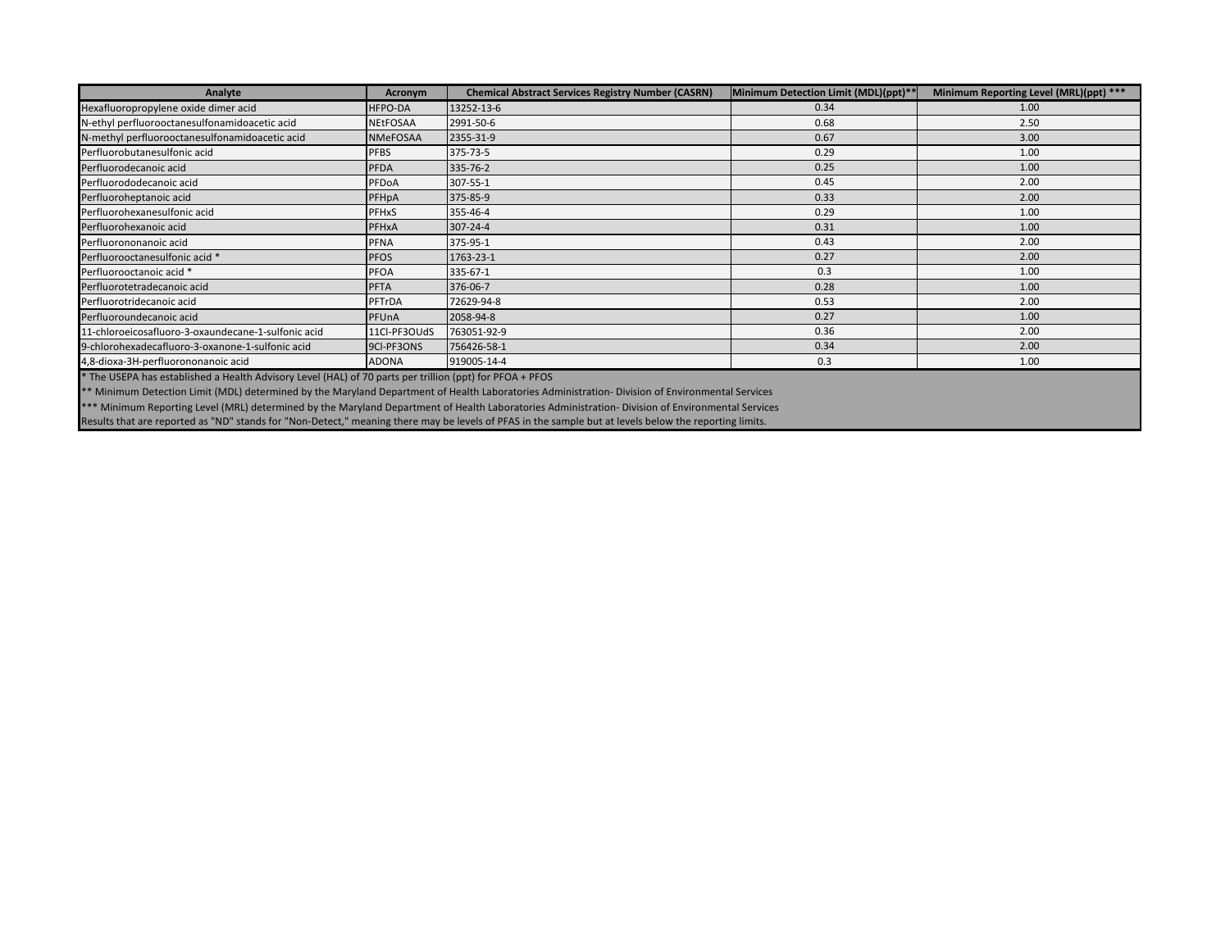| Analyte                                                                                                                                                                                                                                                                                                                                                    | Acronym         | <b>Chemical Abstract Services Registry Number (CASRN)</b> | Minimum Detection Limit (MDL)(ppt)** | Minimum Reporting Level (MRL)(ppt) *** |
|------------------------------------------------------------------------------------------------------------------------------------------------------------------------------------------------------------------------------------------------------------------------------------------------------------------------------------------------------------|-----------------|-----------------------------------------------------------|--------------------------------------|----------------------------------------|
| Hexafluoropropylene oxide dimer acid                                                                                                                                                                                                                                                                                                                       | HFPO-DA         | 13252-13-6                                                | 0.34                                 | 1.00                                   |
| N-ethyl perfluorooctanesulfonamidoacetic acid                                                                                                                                                                                                                                                                                                              | <b>NEtFOSAA</b> | 2991-50-6                                                 | 0.68                                 | 2.50                                   |
| N-methyl perfluorooctanesulfonamidoacetic acid                                                                                                                                                                                                                                                                                                             | <b>NMeFOSAA</b> | 2355-31-9                                                 | 0.67                                 | 3.00                                   |
| Perfluorobutanesulfonic acid                                                                                                                                                                                                                                                                                                                               | <b>PFBS</b>     | 375-73-5                                                  | 0.29                                 | 1.00                                   |
| Perfluorodecanoic acid                                                                                                                                                                                                                                                                                                                                     | <b>PFDA</b>     | 335-76-2                                                  | 0.25                                 | 1.00                                   |
| Perfluorododecanoic acid                                                                                                                                                                                                                                                                                                                                   | PFDoA           | 307-55-1                                                  | 0.45                                 | 2.00                                   |
| Perfluoroheptanoic acid                                                                                                                                                                                                                                                                                                                                    | PFHpA           | 375-85-9                                                  | 0.33                                 | 2.00                                   |
| Perfluorohexanesulfonic acid                                                                                                                                                                                                                                                                                                                               | PFHxS           | 355-46-4                                                  | 0.29                                 | 1.00                                   |
| Perfluorohexanoic acid                                                                                                                                                                                                                                                                                                                                     | PFHxA           | 307-24-4                                                  | 0.31                                 | 1.00                                   |
| Perfluorononanoic acid                                                                                                                                                                                                                                                                                                                                     | <b>PFNA</b>     | 375-95-1                                                  | 0.43                                 | 2.00                                   |
| Perfluorooctanesulfonic acid *                                                                                                                                                                                                                                                                                                                             | <b>PFOS</b>     | 1763-23-1                                                 | 0.27                                 | 2.00                                   |
| Perfluorooctanoic acid *                                                                                                                                                                                                                                                                                                                                   | <b>PFOA</b>     | 335-67-1                                                  | 0.3                                  | 1.00                                   |
| Perfluorotetradecanoic acid                                                                                                                                                                                                                                                                                                                                | PFTA            | 376-06-7                                                  | 0.28                                 | 1.00                                   |
| Perfluorotridecanoic acid                                                                                                                                                                                                                                                                                                                                  | PFTrDA          | 72629-94-8                                                | 0.53                                 | 2.00                                   |
| Perfluoroundecanoic acid                                                                                                                                                                                                                                                                                                                                   | PFUnA           | 2058-94-8                                                 | 0.27                                 | 1.00                                   |
| 11-chloroeicosafluoro-3-oxaundecane-1-sulfonic acid                                                                                                                                                                                                                                                                                                        | 11Cl-PF3OUdS    | 763051-92-9                                               | 0.36                                 | 2.00                                   |
| 9-chlorohexadecafluoro-3-oxanone-1-sulfonic acid                                                                                                                                                                                                                                                                                                           | 9CI-PF3ONS      | 756426-58-1                                               | 0.34                                 | 2.00                                   |
| 4,8-dioxa-3H-perfluorononanoic acid<br>$\frac{1}{2}$ $\frac{1}{2}$ $\frac{1}{2}$ $\frac{1}{2}$ $\frac{1}{2}$ $\frac{1}{2}$ $\frac{1}{2}$ $\frac{1}{2}$ $\frac{1}{2}$ $\frac{1}{2}$ $\frac{1}{2}$ $\frac{1}{2}$ $\frac{1}{2}$ $\frac{1}{2}$ $\frac{1}{2}$ $\frac{1}{2}$ $\frac{1}{2}$ $\frac{1}{2}$ $\frac{1}{2}$ $\frac{1}{2}$ $\frac{1}{2}$ $\frac{1}{2}$ | <b>ADONA</b>    | 919005-14-4                                               | 0.3                                  | 1.00                                   |

\* The USEPA has established a Health Advisory Level (HAL) of 70 parts per trillion (ppt) for PFOA + PFOS

\*\* Minimum Detection Limit (MDL) determined by the Maryland Department of Health Laboratories Administration- Division of Environmental Services

\*\*\* Minimum Reporting Level (MRL) determined by the Maryland Department of Health Laboratories Administration- Division of Environmental Services

Results that are reported as "ND" stands for "Non-Detect," meaning there may be levels of PFAS in the sample but at levels below the reporting limits.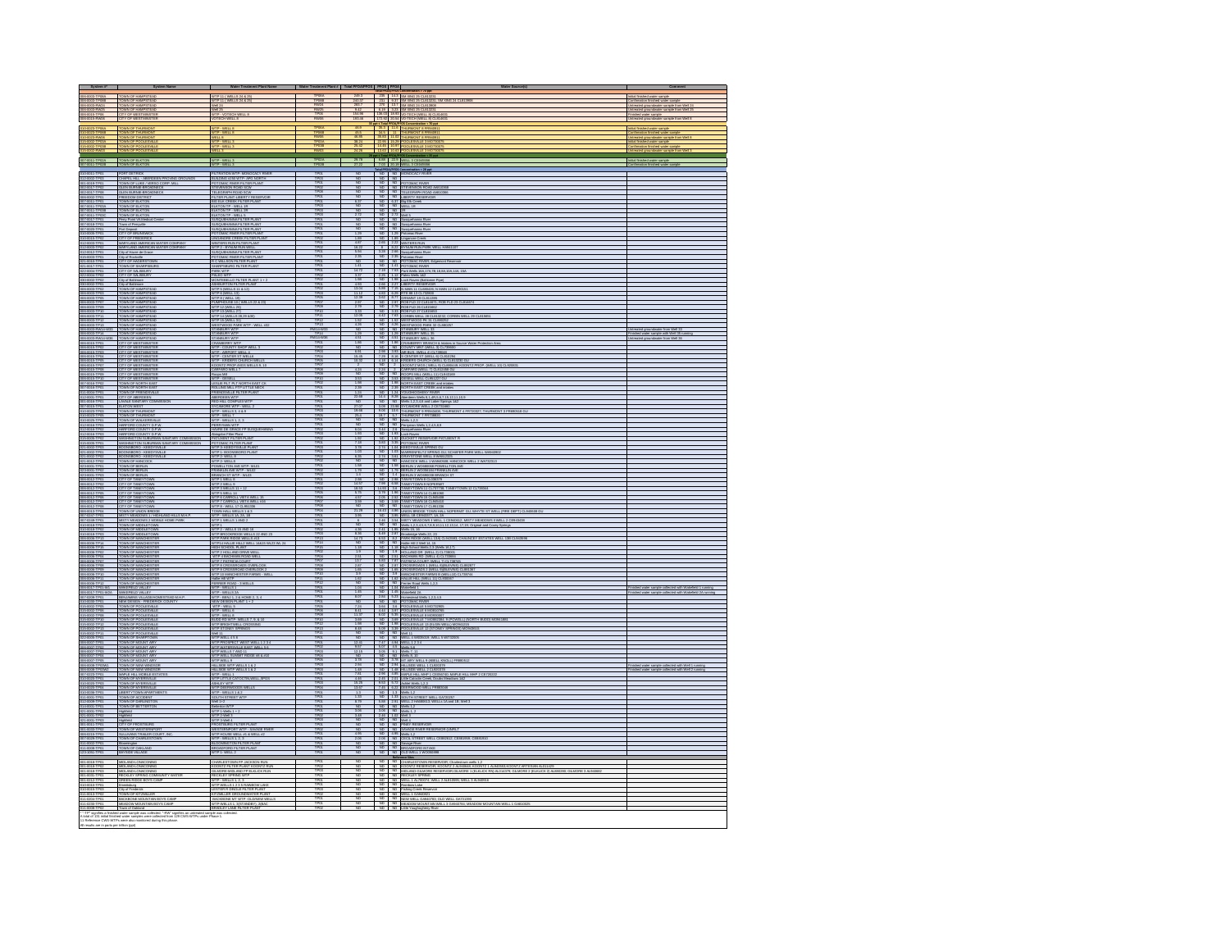|                                                                                   | System #* System Name                                                                                                                 | Water Treatment Plant Name Water Treatment Plant #   Total PFOAPPOS   PFOS   PFOA  <br>Total FOA/FFOS Cocontration > 70 ppt                                                      |                                 |                        |      | Water Sourc                                                                                                                                                                                                                                                                                                          | Comment                                                                                                                                    |
|-----------------------------------------------------------------------------------|---------------------------------------------------------------------------------------------------------------------------------------|----------------------------------------------------------------------------------------------------------------------------------------------------------------------------------|---------------------------------|------------------------|------|----------------------------------------------------------------------------------------------------------------------------------------------------------------------------------------------------------------------------------------------------------------------------------------------------------------------|--------------------------------------------------------------------------------------------------------------------------------------------|
|                                                                                   | OWN OF HAMPSTEA                                                                                                                       | WTP 11 ( WELLS 24 & )                                                                                                                                                            |                                 |                        |      |                                                                                                                                                                                                                                                                                                                      | al finished water sample                                                                                                                   |
| 006-0003-TP08<br>006-0003-TP08<br>006-0003-RW24<br>006-0003-RW25                  | OWN OF HAMPSTEAD<br>OWN OF HAMPSTEAD<br>OWN OF HAMPSTEAD                                                                              |                                                                                                                                                                                  |                                 | 240.3<br>283.1<br>9.42 |      |                                                                                                                                                                                                                                                                                                                      | frmation finished water sample<br>sated groundwater sample from Well 2<br>sated groundwater sample from Well 2                             |
| 006-0015-TP06<br>006-0015-RW06                                                    | <b>ITY OF WESTMINSTER</b><br>CITY OF WESTMINSTER                                                                                      | TP - VOTECH WELL &<br><b>VOTECH WELL &amp;</b>                                                                                                                                   |                                 |                        |      |                                                                                                                                                                                                                                                                                                                      | nished water sample<br>Untreated groundwater sample from Well &                                                                            |
|                                                                                   | .<br>YAN OF THURMONT<br>YAN OF THURMONT                                                                                               | - WELL 8<br>- WELL 8                                                                                                                                                             |                                 |                        |      | ts Total PFOA/PFOS Concentration < 70 ppt<br>35.3 11.6 THURMONT & FROMOST<br>34.5 11 THURMONT & FROMOST<br>35.83 11.02 THURMONT & FROMOST                                                                                                                                                                            |                                                                                                                                            |
| 10-0023-TPOCE                                                                     |                                                                                                                                       | ELL 8                                                                                                                                                                            | EPOS                            | $rac{45.5}{46.02}$     |      | OOLESVILLE 3 MO73                                                                                                                                                                                                                                                                                                    | itial finished water sample<br>onfirmation finished water sample<br>rireated groundwater sample from Well &<br>itial finished water sample |
|                                                                                   |                                                                                                                                       | TP-WELL3<br>TP-WELL3<br>ELL3                                                                                                                                                     |                                 |                        |      |                                                                                                                                                                                                                                                                                                                      | ion <sup>g</sup> mation finished water sample.<br>Intreated groundwater sample from                                                        |
| 007-0011-TP02A                                                                    | TOWN OF ELKTON                                                                                                                        | WTP - WELL 3<br>WTP - WELL 3                                                                                                                                                     | TP02A                           | $\frac{29.78}{27.22}$  |      | 6.88 22.9 WELL 3 CE045556<br>7.03 20.19 WELL 3 CE045556<br>Total PFOA/PFOS Concentration < 28 pp                                                                                                                                                                                                                     | Initial finished water sample                                                                                                              |
| 010-0011-TPD                                                                      | FORT DETRICK                                                                                                                          |                                                                                                                                                                                  | TPOS                            | ND                     |      |                                                                                                                                                                                                                                                                                                                      |                                                                                                                                            |
| 12-0002-TPD                                                                       | HAPEL HILL - ABERDEEN PROVING GROUP                                                                                                   | FILTRATION WITP-MONOCACY RIMER<br>BUILDING #250 WTP- APG NORTH<br>POTOMAC RIMER FILTER PLANT<br>STEVENSON ROAD SCW                                                               |                                 |                        |      | ND ND MONOCACY RMER                                                                                                                                                                                                                                                                                                  |                                                                                                                                            |
| 006-0002-TP                                                                       | REEDOM DISTRIC                                                                                                                        | FILTER PLANT-LIBERTY RESERVOI                                                                                                                                                    |                                 |                        |      | ND ND<br>ND ND POTOMAC RIVER<br>ND ND TELEGRAPH ROAD<br>ND ND LIBERTY RESERVED<br>ND 6.37 ND LIBERTY RESERVED                                                                                                                                                                                                        |                                                                                                                                            |
| 007-0011-TP                                                                       | WN OF ELKTON<br><b>OWN OF ELKTON</b>                                                                                                  | <b>ELK CREEK FILTER PLAN</b>                                                                                                                                                     |                                 |                        |      |                                                                                                                                                                                                                                                                                                                      |                                                                                                                                            |
| 007-0011-TP03A<br>007-0011-TP03B<br>007-0011-TP03C<br>007-0017-TP01               | fOWN OF ELKTON<br>fOWN OF ELKTON<br>htty Point VA Medical Center                                                                      | LKTON TP - WELL 1R<br>LKTON TP - WELL 2R<br>LKTON TP - WELL 5<br>USQUEHANNA FILTER FLANT                                                                                         | TPO<br>TPO                      |                        |      |                                                                                                                                                                                                                                                                                                                      |                                                                                                                                            |
| 007-0018-TP01<br>007-0020-TP01                                                    | own of Perryville<br>Yort Deposit                                                                                                     | USQUEHANNA FILTER PLANT<br>USQUEHANNA FILTER PLANT                                                                                                                               | TPO                             |                        |      | ND 637 Big Elk Creek<br>ND 637 Big Elk Creek<br>ND ND 272<br>ND 7272 Well 5<br>ND 7272 Well 5<br>ND ND 5000 phomes River<br>ND 129 phomes River                                                                                                                                                                      |                                                                                                                                            |
| 10-0005-TP                                                                        | <b>IY OF BRUNSING</b>                                                                                                                 | TOMAC RIVER FLTER PLAI                                                                                                                                                           | ₩                               |                        |      | 1.29 Potomac River<br>1.89 Lingances Cree<br>2.22 WINTERS RUN                                                                                                                                                                                                                                                        |                                                                                                                                            |
|                                                                                   | MARYLAND AMERICAN WATER COMPANY                                                                                                       | NGANORE OREEK FILTER PLAN<br>INTERS RUN FILTER PLANT                                                                                                                             | TPO                             |                        | 2.65 |                                                                                                                                                                                                                                                                                                                      |                                                                                                                                            |
| 012-0003-TP01<br>012-0003-TP02<br>012-0012-TP01<br>015-0003-TP01<br>021-0010-TP01 | by of Rodwile<br>ITY OF HAGERSTOWN                                                                                                    | WATERS HUNTELTER PLANT<br>VTP 2 - BYNUM RUN WELL<br>SUSQUEHANNA FLTER PLANT<br>VOTOMAC RIVER FLTER PLANT<br>K C WLLSON FLTER PLANT                                               | TPO                             |                        |      | 26 222 WWITH REAL PARK WELL HAGH 10<br>3.28 2.26 Sunguharra River<br>ND 2.35 Potomac River<br>ND ND POTOMAC RWER: Edgarent Reser                                                                                                                                                                                     |                                                                                                                                            |
| 021-0017-TPD                                                                      |                                                                                                                                       |                                                                                                                                                                                  | $\frac{170}{160}$               |                        |      | ND 1.41 POTOMAC RIVER<br>7.19 7.53 Park Wells 184 194                                                                                                                                                                                                                                                                |                                                                                                                                            |
| 022-0004-TP02<br>030-0002-TP02                                                    | IOWN OF SHARPSBURG<br>CITY OF SALISBURY<br>CITY OF SALISBURY<br>City of Baltimore                                                     | SHARPSBURG FETER PLANT<br>PARK WTP<br>MONTEBELLO FETER PLANT 1 + 2                                                                                                               |                                 |                        |      | 7.19 7.53 Park Wells 16A 17A 78.18.8<br>2.25 1.12 Paleo Wells 1&2<br>ND 1.98 Loch Raven (Baltionre Pipe)<br>2.06 2.27 LIBERTY RESERVOR                                                                                                                                                                               |                                                                                                                                            |
| 030-0002-TPC                                                                      | City of Baltimore<br>FOWN OF HAMPSTEAD                                                                                                | SHBURTON FETER PLANT<br>VTP 5 (WELLS 11 & 12)                                                                                                                                    |                                 |                        |      |                                                                                                                                                                                                                                                                                                                      |                                                                                                                                            |
| 006-0003-TP03<br>006-0003-TP05<br>006-0003-TP07<br>006-0003-TP09                  | INN OF HAMPSTEA<br>INN OF HAMPSTEA<br>INN OF HAMPSTEA                                                                                 | (TP 6 (WELL 13)<br>(TP 8 (WELL 19)<br>UMPHOUSE 10 (WELLS 22 & 23)                                                                                                                | TPO<br>TPO                      |                        |      |                                                                                                                                                                                                                                                                                                                      |                                                                                                                                            |
| 006-0003-TP10<br>006-0003-TP11<br>006-0003-TP12                                   | WIN OF HAMPSTEA<br>OWN OF HAMPSTEAD<br>OWN OF HAMPSTEAD<br>OWN OF HAMPSTEAD                                                           | <b>TP 12 (WELL 26)</b><br>P 13 (WELL 27)<br>P 14 (WELLS 28,29 &30)<br>Third (MELL 31)                                                                                            | TPI<br>TPI<br>TPI:              | $rac{3.33}{12.0}$      |      |                                                                                                                                                                                                                                                                                                                      |                                                                                                                                            |
|                                                                                   |                                                                                                                                       |                                                                                                                                                                                  | TP13                            | 4.25                   |      |                                                                                                                                                                                                                                                                                                                      |                                                                                                                                            |
| 006-0003-TP13<br>006-0003-RW14-W33                                                | OWN OF HAMPSTEAD<br>OWN OF HAMPSTEAD                                                                                                  | WESTWOOD PARK WTP - WELL #32<br>STANBURY WTP                                                                                                                                     | TP14<br>tW14-W2                 |                        |      | ND 4.26 WESTWOOD PARK 32 CL880257<br>ND ND STANBURY WELL 33                                                                                                                                                                                                                                                          | reated groundwater from Well                                                                                                               |
| 006-0003-TP14<br>006-0003-RW14-V<br>006-0015-TP01<br>006-0015-TP02                | OWN OF HAMPSTEAD<br>OWN OF HAMPSTEAD<br>ITY OF WESTMINSTER<br>ITY OF WESTMINSTER                                                      | <b>CONSURY WTP<br/>CRANSURY WTP<br/>CRANSERRY WTP<br/>WTP - COUNTY SHOP WELL 3</b>                                                                                               |                                 |                        |      | $\begin{tabular}{ c c c c c c } \hline $10$ & $120$ & $200$ & $1014$ & $1014$ \\ \hline $10$ & $120$ & $1200$ & $1014$ & $1014$ & $1014$ & $1014$ & $1014$ & $1014$ & $1014$ \\ \hline $10$ & $161$ & $2000$ & $2000$ & $1014$ & $2014$ & $2014$ & $2014$ & $2014$ & $2014$ & $2014$ \\ \hline $120$ & $2000$ & $20$ |                                                                                                                                            |
| 006-0015-TPO                                                                      | ITY OF WESTMINSTER                                                                                                                    | P-ARPORT WELL 4<br>TP - CENTER ST WELLS                                                                                                                                          | TPO<br>TPO                      |                        |      |                                                                                                                                                                                                                                                                                                                      |                                                                                                                                            |
| 006-0015-TP04<br>006-0015-TP05<br>006-0015-TP07                                   | ITY OF WESTMINSTER<br>ITY OF WESTMINSTER<br><b>ITY OF WESTMINSTER</b>                                                                 | TP - KRIDERS CHURCH WELLS<br>JONTZ PROP ANGS WELLS 9, 10                                                                                                                         | TPO<br>TPO                      |                        |      |                                                                                                                                                                                                                                                                                                                      |                                                                                                                                            |
| 006-0015-TF<br>006-0015-TP09<br>006-0015                                          | TY OF WESTMINSTER                                                                                                                     | ARFARO WELL 7<br>oops Mill                                                                                                                                                       | TPOS                            | $\frac{NO}{14}$        |      | ND ND ROOPS MILL (WELL 11) CL943169                                                                                                                                                                                                                                                                                  |                                                                                                                                            |
|                                                                                   | OWN OF NORTH EAST                                                                                                                     |                                                                                                                                                                                  | TPO                             |                        |      |                                                                                                                                                                                                                                                                                                                      |                                                                                                                                            |
| 007-0016-TP02<br>007-0016-TP01<br>011-0004-TP01<br>012-0001-TP01                  | <b>ITY OF ABERDEEN</b>                                                                                                                | LESSUE PET PLT NORTH EAST CA<br>ROLLING MILL FTP LITTLE NECK<br>FRIENDSVILLE FETER PLANT<br>ABERDEEN WTP                                                                         | TPO<br>TPO                      |                        |      | ND 138 NORTH EAST CREEK and Inteless<br>ND 239 NORTH EAST CREEK and Inteless<br>ND 124 YOUGHOGHENY RIVER<br>14.4 8.28 Abendeen Wells 8,1.4R,5,6,7,15,12,11,10                                                                                                                                                        |                                                                                                                                            |
| 01-0016-TP<br>007-0015-TPO                                                        | <b>N/ALE SANITARY COMME</b><br>LKTON WEST                                                                                             | ED HEL COMPLEXWIP<br>YCAMORE WTP - WELL 2                                                                                                                                        |                                 |                        |      | MD ND Walks 12,3,46 and Labor Springs 152<br>3.09 23.98 SYCAMORE WELL 2 CE731699<br>2.09 23.98 SYCAMORE WELL 2 CE731699<br>2.05 29 20 40 PHURMONT 7 PRESSED HURMONT<br>ND ND Walks 12,3                                                                                                                              |                                                                                                                                            |
| 010-0023-TPO<br>010-0023-TPO                                                      | EKTON WEST<br>OWN OF THURMONT<br>OWN OF THURMONT<br>OWN OF WALKERSVILLI                                                               | TP - WELLS 3, 4 & 3<br>TP - WELL 7<br>TP - WELLS 1, 2, 3                                                                                                                         |                                 |                        |      |                                                                                                                                                                                                                                                                                                                      |                                                                                                                                            |
| 012-0016-TP01<br>012-0016-TP02                                                    | <b>WRFORD COUNTY D.P.W</b>                                                                                                            | ERRYMAN WTP<br>HVRE DE GRACE FP SUS                                                                                                                                              | TPO!<br>TPO:                    |                        |      |                                                                                                                                                                                                                                                                                                                      |                                                                                                                                            |
| 012-0015-TP03<br>015-0005-TP02<br>015-0005-TP01<br>021-0002-TP03                  | RFORD COUNTY D.P.                                                                                                                     | bingdon Filter Plant<br>ATUXENT FILTER PLANT<br>OTOMAC FILTER PLANT<br>ITP 3- KEEDYSVILLE PLANT                                                                                  | $\frac{170}{100}$               |                        |      |                                                                                                                                                                                                                                                                                                                      |                                                                                                                                            |
| 021-0002-TP                                                                       | IASHINGTON SUBURBAN SANTARY COMMISS<br>IASHINGTON SUBURBAN SANTARY COMMISS<br>OONSBORO - KEEDYSVILLE<br>ONSBORO - KEEDYSVLLI          |                                                                                                                                                                                  | TPO:<br>TPO!                    | 3.75                   |      |                                                                                                                                                                                                                                                                                                                      |                                                                                                                                            |
| 021-0002-TP02<br>021-0012-TPD                                                     | OONSBORO - KEEDYSVLLE                                                                                                                 | TP 2- WELL 8                                                                                                                                                                     | TPO                             |                        |      | NO NO REGIONALES<br>2.6 November 174, 2008<br>2.6 November 174, 2008<br>2.6 No 174 Standard Rose<br>2.6 No 174 Standard Rose<br>2.7 No 174 Standard Rose<br>2.7 No 174 Standard Rose<br>2.7 No 175 No 175 No 175 No 175 No 175 No 175 No 17                                                                          |                                                                                                                                            |
| 023-0001-TPO                                                                      | dwn of Hancock<br>Dwn of Berlin<br>Dwn of Berlin                                                                                      | (TP.2- WELLS<br>OWELLTON AVE WTP- WL<br>RANKLIN AVE WTP - WL02                                                                                                                   |                                 |                        |      |                                                                                                                                                                                                                                                                                                                      |                                                                                                                                            |
| 023-0001-TP03<br>006-0012-TP01<br>06-0012-TPD<br>06-0012-TPD                      | OWN OF BERLIN<br>ITY OF TANEYTOWN<br><u>TY OF TANEYTOWN</u><br>TY OF TANEYTOWN                                                        | RANCH ST WTP - VILO3<br>/TP 1 WELL 8                                                                                                                                             |                                 |                        |      |                                                                                                                                                                                                                                                                                                                      |                                                                                                                                            |
| 006-0012-TPC<br>006-0012-TPC                                                      |                                                                                                                                       | YTP 2 WELL 9<br>YTP 3 WELLS 11 + 12<br>YTP 5 WELL 14<br>YTP 6 CARROLL VISTA WELL 15                                                                                              | TPO                             |                        |      |                                                                                                                                                                                                                                                                                                                      |                                                                                                                                            |
| 006-0012-TP03<br>006-0012-TP03<br>006-0013-TP04<br>007-0242-TP01<br>007-0242-TP01 | STY OF TANEYTOWN<br>SITY OF TANEYTOWN<br>UITY OF TANEYTOWN<br>USTY MEADOWS ? / HIGHLAND HILLS M.H.P<br>USTY MEADOWS ? MOBLE HOME PARK | TIP T CARROLL WSTAWELL #15<br>TIP T CARROLL WSTAWELL #15<br>OWN HALL WELLS 1 & 3<br>TIP - WELLS 1 A, 2A, 1B<br>TIP 1 WELLS 1 AND 2                                               |                                 |                        |      |                                                                                                                                                                                                                                                                                                                      |                                                                                                                                            |
|                                                                                   |                                                                                                                                       |                                                                                                                                                                                  |                                 |                        |      |                                                                                                                                                                                                                                                                                                                      |                                                                                                                                            |
| 010-0018-TP01<br>010-0018-TP02                                                    | OWN OF MIDDLETOWN<br>OWN OF MIDDLETOWN                                                                                                | VTP 1<br>P2-WELLS 15 AND 16                                                                                                                                                      | TPO:<br>TPO:                    |                        |      |                                                                                                                                                                                                                                                                                                                      |                                                                                                                                            |
|                                                                                   |                                                                                                                                       | TP BROOKRIDGE WELLS 22 AND 2<br>TP PARK RIDGE WELLS #13<br>TP14 HALLIE HILL2 WELL 14&15 WL                                                                                       | TPO<br>TPI:                     |                        |      |                                                                                                                                                                                                                                                                                                                      |                                                                                                                                            |
| 006-0006-TP13<br>006-0006-TP14<br>006-0006-TP15                                   | WN OF MANCHESTE                                                                                                                       | GH SCHOOL PLANT                                                                                                                                                                  | TPH                             |                        |      |                                                                                                                                                                                                                                                                                                                      |                                                                                                                                            |
| 006-0006-TP02<br>006-0006-TP04<br>006-0006-TP07                                   | OWN OF MANCHESTER<br>OWN OF MANCHESTER<br>OWN OF MANCHESTER                                                                           |                                                                                                                                                                                  | TPO<br>TPO<br>TPO               |                        |      | NO 1.5 HOLLAND DR WIRL 21 GL73001<br>NO 2.51 BACHMAR RD (WELL 4) CL73004<br>NO 2.51 BACHMAR RD (WELL 4) CL73004<br>NO 2.87 PATRICKA COMPLY WELL 30 RL PVMS CL85287<br>NO 2.87 CROSSROADS 2 WELL 30 RL PVMS CL85287<br>NO 1.65 CROSSROADS 2 WE                                                                        |                                                                                                                                            |
| 006-0006-TP08<br>006-0006-TP09                                                    | OWN OF MANCHESTER<br>WIN OF MANCHESTER                                                                                                | INTP & CROSSROADS OVERLOOK<br>INTP & CROSSROAD OVERLOOK                                                                                                                          | TPOS                            |                        |      |                                                                                                                                                                                                                                                                                                                      |                                                                                                                                            |
| 35-0005-TP10<br>006-0006-TP11<br>006-0006-TP12<br>006-0017-TP01-V                 | OWN OF MANCHESTER<br>OWN OF MANCHESTER<br>(AKEFIELD VALLEY                                                                            | TP 10 MANCHESTER FARMS - WE<br>alie Hd WTP<br>ERRER ROAD - 3 WELLS<br>/TP - WELLS 1                                                                                              | $\frac{TP10}{TP11}$             |                        |      |                                                                                                                                                                                                                                                                                                                      |                                                                                                                                            |
| 006-0017-TP01-W2A<br>007-0209-TP01                                                | AKEFIELD VALLEY<br>ENJAMNS VILLAGE/HOMESTEAD M.H.P                                                                                    | TP - WELLS 2A<br>TP - BENJ 1, 2 & HOME 2, 3, 4                                                                                                                                   |                                 |                        |      | NO 33 MANCHESTER FARMS B INVELTO CLOSED NO 122 HALL TO CROSSET AND THE HIGH WIREL TO CROSSET NO 154 MANUSCRIP FARMS ROUND TO THE REVOLUTOR CONTRACT NO 154 MANUSCRIP FACTOR NO 154 MANUSCRIP (1975) AND INCOLL TO THE STATE S                                                                                        | nished water sample collected with Wakefield 1 run                                                                                         |
| 10-0030-TPC<br>15-0002-TPC                                                        | W DESIGN - FREDERICK COUR<br>-----------------------                                                                                  | W DESIGN PLANT 1 + 2                                                                                                                                                             | TPO                             |                        |      |                                                                                                                                                                                                                                                                                                                      |                                                                                                                                            |
| 015-0002-TP06<br>015-0002-TP06                                                    | OWN OF POOLESVILLE                                                                                                                    | TP - WELL 6<br>TP - WELL 8                                                                                                                                                       | TPOS                            |                        |      |                                                                                                                                                                                                                                                                                                                      |                                                                                                                                            |
|                                                                                   | WWW. OF POOLESVILLE                                                                                                                   | DD RD WTP- WELLS 7, 9, & 10<br><b>/TP BRIGHTWELL CROS</b><br>/TP STONEY SPRINGS                                                                                                  | $\frac{TP12}{TP12}$             |                        |      |                                                                                                                                                                                                                                                                                                                      |                                                                                                                                            |
| 015-0002-TP12<br>015-0002-TP13<br>015-0002-TP11<br>022-0005-TP01                  | DWN OF POOLESVILLE<br>DWN OF POOLESVILLE<br>DWN OF SHARPTOWN                                                                          | TP WELL 456                                                                                                                                                                      | $\frac{1}{100}$                 |                        |      | NO 198 POOLESVILLE 13 (ELGIN WELL) MOSH 215<br>5.09 3.39 POOLESVILLE 12 (STONEY SPRINGS) MOSH 2612<br>NO NO WELL 4 WICKSON, WELL 5 WITSPOS                                                                                                                                                                           |                                                                                                                                            |
| 006-0007-TPO                                                                      | own of Mount Airy<br>Yan of Mount Airy                                                                                                | VTP PROSPECT WEST WELL 123-<br>VTP WATERSVILLE EAST WELL 56                                                                                                                      |                                 |                        |      |                                                                                                                                                                                                                                                                                                                      |                                                                                                                                            |
| 006-0007-TP0:<br>006-0007-TP0-                                                    | yan of Mount Airy<br>Yan of Mount Airy                                                                                                | NTP WELLS 7 AND 11<br>NTP WELL SUMMIT RIDGE #8 & #:                                                                                                                              | $\frac{1}{2}$                   |                        |      |                                                                                                                                                                                                                                                                                                                      |                                                                                                                                            |
| 006-0008-TP03V<br>006-0008-TP03W                                                  | WWW.OF NEW WINDSO<br>WIN OF NEW WINDSOR                                                                                               | TP WELL 9<br>LLSDE WTP WELLS 1 & 2<br>LLSDE WTP WELLS 1 & 2                                                                                                                      | TPO3                            |                        |      |                                                                                                                                                                                                                                                                                                                      | ished water sample collected with Well 1 nunring<br>nished water sample collected with Well 2 nunning                                      |
| 07-0223-TPO                                                                       | APLE HILL MOBLE ESTATES<br>DWN OF MYERSVILLE<br>DWN OF MYERSVILLE<br>DWN OF MYERSVILLE                                                | NTP - WELL 1<br>NTP LITTLE CATOC<br>VSHLEY WTP                                                                                                                                   |                                 |                        |      |                                                                                                                                                                                                                                                                                                                      |                                                                                                                                            |
| 10-0020-TPD<br>110-0020-TPD<br>110-0020-TPD                                       |                                                                                                                                       | TP DEERWOODS WELLS                                                                                                                                                               | TP03                            |                        |      |                                                                                                                                                                                                                                                                                                                      |                                                                                                                                            |
| 10-0036-TPD<br>11-0001-TPD                                                        | JBERTYTOWN APARTMENT<br>TOWN OF ACCIDENT                                                                                              | TP - WELLS 1 & 2<br>CUTH STREET WTP                                                                                                                                              |                                 |                        |      | ND 1.3 Wels 1,2<br>ND 1.33 SOUTH STREET WELL GA720257                                                                                                                                                                                                                                                                |                                                                                                                                            |
| 12-0009-TPD<br>114-0001-TPD<br>121-0001-TPD                                       | TOWN OF DARLINGTON<br>TOWN OF BETTERTON<br>blehfeld                                                                                   | ell 1+2<br>elferion WTP<br>/TP-1-Wels 1 + 2                                                                                                                                      |                                 |                        |      | 5.88 2.91 WELL 2 HA5505<br>ND ND Wells 1,2<br>3.06 ND Wells 1,2<br>2.46 1.02 Well 3                                                                                                                                                                                                                                  |                                                                                                                                            |
| 021-0001-TP0<br>021-0001-TP0<br>001-0011-TPC                                      | ighfield<br>TY OF FROSTBURG                                                                                                           | VTP 2-Wel 3<br>VTP 3-Wel 4<br>ROSTBURG FILTER PLANT                                                                                                                              | TPO2<br>TPO                     |                        |      | ND ND Well4                                                                                                                                                                                                                                                                                                          |                                                                                                                                            |
| 01-0033-TPO                                                                       | VAN OF WESTERNPOR                                                                                                                     |                                                                                                                                                                                  |                                 |                        |      | ND ND PINEY RESERVOR<br>ND ND SAVAGE RIVER RESERVIOR (UNITL)                                                                                                                                                                                                                                                         |                                                                                                                                            |
| 006-0215-TP0<br>007-0025-TP0<br>011-0003-TP0<br>011-0005-TP0                      | JLLIVANS TRALER COUR<br>YAN OF CHARLESTOWN<br>OWN OF OAKLAND                                                                          | r moor BURG FILLER PLANT<br>WEBTERNPORT WTP - SAVELL 42<br>WTP HOUSE WELL 41 & WELL 42<br>BLOOMNGTON FILTER PLANT<br>BROADTOND FILTER PLANT<br>BRTD 1. WFI 1.7<br>WTD 1. WFI 1.7 | TPO<br>TPO<br>$\frac{170}{100}$ |                        |      | ND 4.95 Wels 1,2<br>2.05 ND CICOL STREET WELL CE802612; CE881999; CE8<br>ND ND Sevage River<br>ND ND BROADFORD INTAKE                                                                                                                                                                                                |                                                                                                                                            |
| I23-1051-TP                                                                       | <b>BAYSDE VILLAGE</b>                                                                                                                 | $-WELL2$                                                                                                                                                                         |                                 |                        |      | ND ND OLD WELL 1 WOOSCO38                                                                                                                                                                                                                                                                                            |                                                                                                                                            |
| 31-0015                                                                           | DLAND-LONACONING                                                                                                                      | HALESTOWN FP JACKSON RI<br>KONTZ FILTER PLANT KOONTJ                                                                                                                             | TPO:<br>TPO:<br>TPO:            |                        |      | Battrence Shes<br>ND   ND   CHARLESTOWN RESERVOIR; CH<br>ND   ND   KOONTZ RESERVOIR: KOONTZ                                                                                                                                                                                                                          |                                                                                                                                            |
| 001-0018-TP03<br>001-0031-TP01<br>001-0212-TPO                                    | MIDLAND-LONACONING<br>RECKLEY SPRING COMMUNITY WATER<br>GREEN RIDGE BOYS CAMP                                                         | KOONTZ FETER PLANT KOONTZ RU<br>GEMORE-MIXAND FP EUGLICK RUN<br>RECKLEY SPRING WTP<br>WTP - WELLS 1, 2, 3                                                                        |                                 |                        |      | NO HE NUGRICAR SERVARE KUGHIZ (AUMORS: NUGRICI FAMIROSXUANI ZAHISIRKANI HADI NE NUGLIAR CHARGE 3 HUNA<br>NO HE NUGLIARD GLIACHE RESERVOR GLIACHE ( (EUKLEK RN) HUNATR GLIACHE 3 (EUKLEK 2) AU80289; GLIACRE 3 HUN<br>NO HE NO WELL 1                                                                                 |                                                                                                                                            |
| 10-0010-TP<br>10-0015-TP03                                                        | <b>City of Frederick</b>                                                                                                              | IP WELLS 1235 RANBOW LAKE<br>ESTER RIDINGLE FILTER PLANT                                                                                                                         |                                 |                        |      | Rainbow Lake                                                                                                                                                                                                                                                                                                         |                                                                                                                                            |
|                                                                                   |                                                                                                                                       |                                                                                                                                                                                  | TROT<br>TROT                    |                        |      | ND ND Flahing Creek Reservoir<br>ND ND WELL 1 GA940821                                                                                                                                                                                                                                                               |                                                                                                                                            |
|                                                                                   |                                                                                                                                       |                                                                                                                                                                                  |                                 |                        |      | ND ND NEW WELL GARAGTED CLD WELL GARS1393<br>ND ND NEW WELL GARAGTED CLD WELL 3 GARSTER, MEADOW M                                                                                                                                                                                                                    |                                                                                                                                            |
|                                                                                   | 11 Reference CWS-WTPs were also monitored during this phase<br>All results are in parts per trillion (ppt)                            |                                                                                                                                                                                  |                                 |                        |      |                                                                                                                                                                                                                                                                                                                      |                                                                                                                                            |
|                                                                                   |                                                                                                                                       |                                                                                                                                                                                  |                                 |                        |      |                                                                                                                                                                                                                                                                                                                      |                                                                                                                                            |